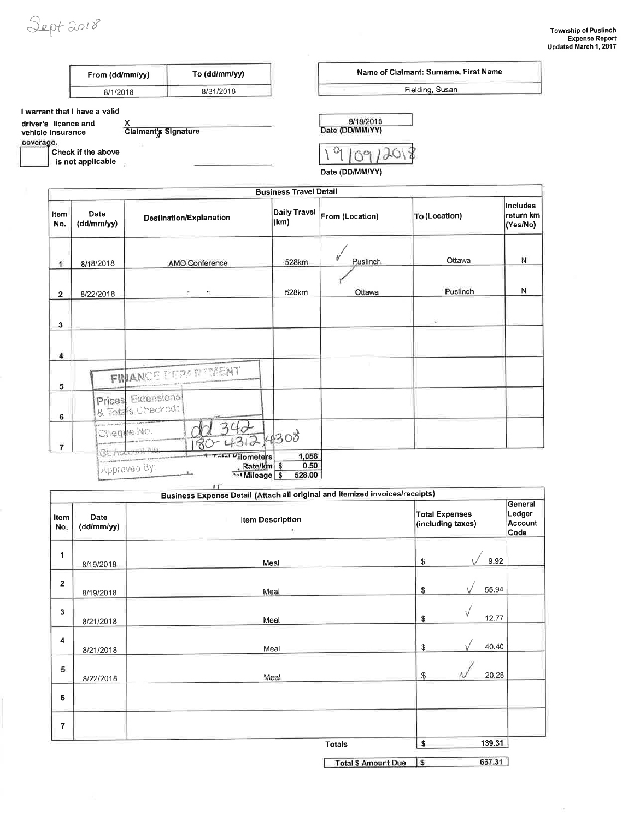Sept 2018

| From (dd/mm/yy) | To (dd/mm/yy) |  |
|-----------------|---------------|--|
| 8/1/2018        | 8/31/2018     |  |

### I warrant that I have a valid

| driver's licence and |                      |
|----------------------|----------------------|
| vehicle insurance    | Claimant's Signature |

coverage.

Check if the above

 $\overline{\phantom{a}}$  is not applicable

Name of Claimant: Surname, First Name Fielding, Susan



Date (DD/MM/YY)

|                |                                         |                                          | <b>Business Travel Detail</b>                       |                 |               |                                   |
|----------------|-----------------------------------------|------------------------------------------|-----------------------------------------------------|-----------------|---------------|-----------------------------------|
| Item<br>No.    | Date<br>(dd/mm/yy)                      | Destination/Explanation                  | <b>Daily Travel</b><br>(km)                         | From (Location) | To (Location) | Includes<br>return km<br>(Yes/No) |
| $\mathbf{1}$   | 8/18/2018                               | AMO Conference                           | 528km                                               | Puslinch        | Ottawa        | Ń                                 |
| $\mathbf{2}$   | 8/22/2018                               | н.<br>Ψ,                                 | 528km                                               | Ottawa          | Puslinch      | N                                 |
| 3              |                                         |                                          |                                                     |                 |               |                                   |
| 4              |                                         |                                          |                                                     |                 |               |                                   |
| 5              |                                         | FINANCE PERADTMENT                       |                                                     |                 |               |                                   |
| 6              |                                         | Prices, Extensions<br>& Totals Checked:  |                                                     |                 |               |                                   |
| $\overline{7}$ | <b>Line managers</b>                    | Cheque No.                               | $-43,24308$                                         |                 |               |                                   |
|                | <b>CALCULATION IN PERSONAL PROPERTY</b> | <b>A TAMI Vilometers</b><br>Approved By: | 1,056<br>0.50<br>Rate/km \$<br>Mileage \$<br>528.00 |                 |               |                                   |

|                |                    | Business Expense Detail (Attach all original and itemized invoices/receipts) |                                            |                                      |  |
|----------------|--------------------|------------------------------------------------------------------------------|--------------------------------------------|--------------------------------------|--|
| Item<br>No.    | Date<br>(dd/mm/yy) | <b>Item Description</b><br>$\langle \cdot \rangle$                           | <b>Total Expenses</b><br>(including taxes) | General<br>Ledger<br>Account<br>Code |  |
| 1              | 8/19/2018          | Meal                                                                         | 9.92<br>\$                                 |                                      |  |
| $\overline{2}$ | 8/19/2018          | Meal                                                                         | 55.94<br>\$                                |                                      |  |
| 3              | 8/21/2018          | Meal                                                                         | 12.77<br>\$                                |                                      |  |
| 4              | 8/21/2018          | Meal                                                                         | 40.40<br>\$                                |                                      |  |
| 5              | 8/22/2018          | Meal                                                                         | 20.28<br>£.                                |                                      |  |
| 6              |                    |                                                                              |                                            |                                      |  |
| 7              |                    |                                                                              |                                            |                                      |  |
|                |                    | <b>Totals</b>                                                                | 139.31<br>\$                               |                                      |  |

I

667.31 Total \$ Amount Due \$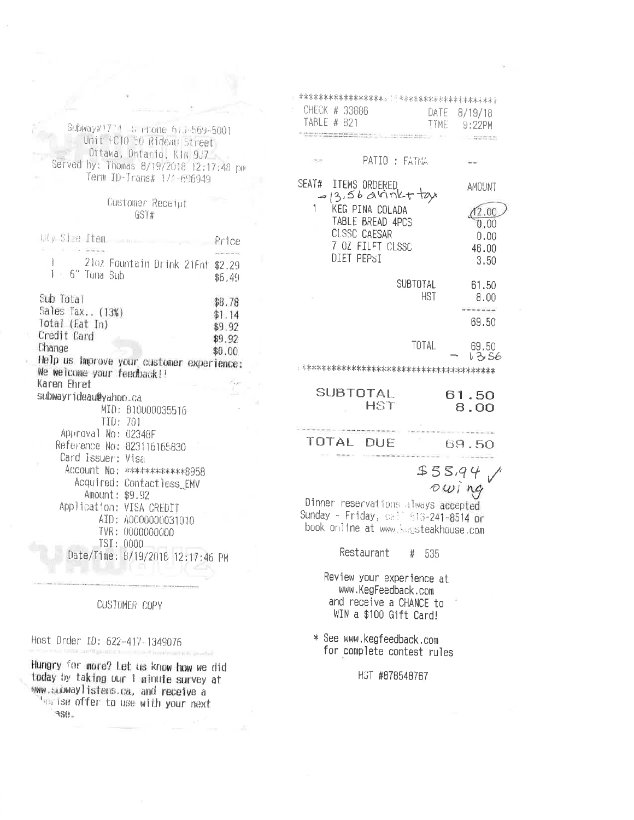Subway#1714 S ehone 613-569-5001 Unit FC10 50 R1deau Street Ottawa, Ortario, KIN 9J7 Served by: Thomas 8/19/2018 12:17:48 pm Term ID-Trans# 1/4-696949

## Customer Receipt GST#

| uly Stee Item                                                           | Price  |
|-------------------------------------------------------------------------|--------|
| ļ<br>2102 Fountain Drink 21Fnt \$2.29                                   |        |
| 1<br>€ 6" Tuna Sub                                                      |        |
|                                                                         | \$6,49 |
| Sub Total                                                               | \$8.78 |
| Sales Tax (13%)                                                         | \$1.14 |
| Total (Eat In)                                                          | \$9.92 |
| Credit Card                                                             |        |
| Change                                                                  | \$9.92 |
|                                                                         | \$0.00 |
| Help us improve your customer experience:<br>We welcome your feedback!! |        |
| Karen Ehret                                                             |        |
| subwayr1deau@yahoo.ca                                                   |        |
| MID: 810000035516                                                       |        |
| TID: 701                                                                |        |
| Approval No: 02348F                                                     |        |
|                                                                         |        |
| Reference No: 823116165830                                              |        |
| Card Issuer: Visa                                                       |        |
| Account No: *************8958                                           |        |
| Acquired: Contactless_EMV                                               |        |
| Amount: \$9.92                                                          |        |
| Application: VISA CREDIT                                                |        |
| AID: A0000000031010                                                     |        |
| TVR: 0000000000                                                         |        |
| TSI: 0000                                                               |        |
| Date/Time:<br>8/19/2018 12:17:46 PM                                     |        |
|                                                                         |        |

CUSTOMER<sup>®</sup> COPY

Host Order ID: 622-417-1349076

Hungry for more? Let us know how we did today by taking our 1 ainute survey at www.subwaylistens.ca, and receive a That ise offer to use with your next RSB.

| <b>才宋宋宋本宋宋宋宋宋宋宋宋宋</b> 宋宋末 <sub>年</sub> 【《宋宋清·宋宋宋·宋宋·宋宋·宋宋·宋·宋·宋·宋·宋·宋<br>CHECK # 33886                               |          |              |       |                                                                                                                                                                                 |
|----------------------------------------------------------------------------------------------------------------------|----------|--------------|-------|---------------------------------------------------------------------------------------------------------------------------------------------------------------------------------|
| TABLE # 821                                                                                                          |          | ITME         |       | DATE 8/19/18<br>$9:22$ PM                                                                                                                                                       |
| the antique of the recent in the                                                                                     |          |              |       | $\sim 10^{-10}$ m $^{-1}$ and $\sim 10^{-10}$ m $^{-1}$ m $^{-1}$ m $^{-1}$ m $^{-1}$ m $^{-1}$ m $^{-1}$ m $^{-1}$ m $^{-1}$ m $^{-1}$ m $^{-1}$ m $^{-1}$ m $^{-1}$ m $^{-1}$ |
| PATIO : FATHA                                                                                                        |          |              |       |                                                                                                                                                                                 |
| SEAT# ITEMS ORDERED<br>$= 13.56$ avinkt tay                                                                          |          |              |       | AMOUNT                                                                                                                                                                          |
| KEG PINA COLADA<br>TABLE BREAD 4PCS                                                                                  |          |              |       | (12.00)<br>0.00                                                                                                                                                                 |
| CLSSC CAESAR<br>7 OZ FILFT CLSSC<br>DIET PEPSI                                                                       |          |              |       | 0.00<br>46.00<br>3.50                                                                                                                                                           |
|                                                                                                                      |          |              |       |                                                                                                                                                                                 |
|                                                                                                                      | SUBTOTAL | HST.         |       | 61.50<br>8.00                                                                                                                                                                   |
|                                                                                                                      |          |              |       | ------<br>69.50                                                                                                                                                                 |
|                                                                                                                      |          | <b>TOTAL</b> |       | 69.50<br>l 3,56                                                                                                                                                                 |
|                                                                                                                      |          |              |       |                                                                                                                                                                                 |
| SUBTOTAL<br><b>HST</b>                                                                                               |          |              |       | 61.50<br>8.00                                                                                                                                                                   |
| TOTAL<br><b>DUF</b>                                                                                                  |          |              |       | 69.50                                                                                                                                                                           |
|                                                                                                                      |          | \$55,94      |       |                                                                                                                                                                                 |
| Dinner reservations always accepted<br>Sunday - Friday, call 613-241-8514 or<br>book online at www.kegsteakhouse.com |          |              | owing |                                                                                                                                                                                 |
| Restaurant                                                                                                           | # 535    |              |       |                                                                                                                                                                                 |

Review your experience at www.KegFeedback.com and receive a CHANCE to WIN a \$100 Gift Card!

\* See www.kegfeedback.com for complete contest rules

HST #878548767